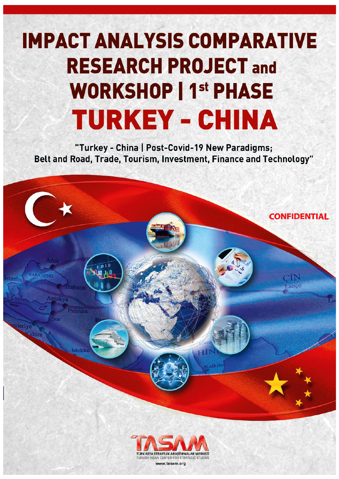# **IMPACT ANALYSIS COMPARATIVE RESEARCH PROJECT and WORKSHOP | 1st PHASE TURKEY - CHINA**

"Turkey - China | Post-Covid-19 New Paradigms; Belt and Road, Trade, Tourism, Investment, Finance and Technology"

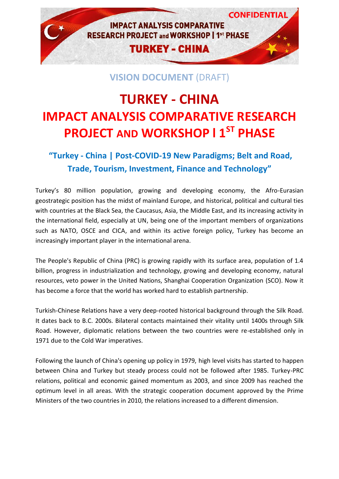

### **VISION DOCUMENT** (DRAFT)

## **TURKEY - CHINA IMPACT ANALYSIS COMPARATIVE RESEARCH PROJECT AND WORKSHOP l 1ST PHASE**

## **"Turkey - China | Post-COVID-19 New Paradigms; Belt and Road, Trade, Tourism, Investment, Finance and Technology"**

Turkey's 80 million population, growing and developing economy, the Afro-Eurasian geostrategic position has the midst of mainland Europe, and historical, political and cultural ties with countries at the Black Sea, the Caucasus, Asia, the Middle East, and its increasing activity in the international field, especially at UN, being one of the important members of organizations such as NATO, OSCE and CICA, and within its active foreign policy, Turkey has become an increasingly important player in the international arena.

The People's Republic of China (PRC) is growing rapidly with its surface area, population of 1.4 billion, progress in industrialization and technology, growing and developing economy, natural resources, veto power in the United Nations, Shanghai Cooperation Organization (SCO). Now it has become a force that the world has worked hard to establish partnership.

Turkish-Chinese Relations have a very deep-rooted historical background through the Silk Road. It dates back to B.C. 2000s. Bilateral contacts maintained their vitality until 1400s through Silk Road. However, diplomatic relations between the two countries were re-established only in 1971 due to the Cold War imperatives.

Following the launch of China's opening up policy in 1979, high level visits has started to happen between China and Turkey but steady process could not be followed after 1985. Turkey-PRC relations, political and economic gained momentum as 2003, and since 2009 has reached the optimum level in all areas. With the strategic cooperation document approved by the Prime Ministers of the two countries in 2010, the relations increased to a different dimension.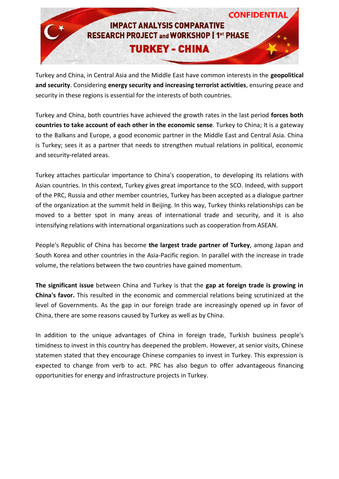

Turkey and China, in Central Asia and the Middle East have common interests in the **geopolitical and security**. Considering **energy security and increasing terrorist activities**, ensuring peace and security in these regions is essential for the interests of both countries.

Turkey and China, both countries have achieved the growth rates in the last period **forces both countries to take account of each other in the economic sense**. Turkey to China; It is a gateway to the Balkans and Europe, a good economic partner in the Middle East and Central Asia. China is Turkey; sees it as a partner that needs to strengthen mutual relations in political, economic and security-related areas.

Turkey attaches particular importance to China's cooperation, to developing its relations with Asian countries. In this context, Turkey gives great importance to the SCO. Indeed, with support of the PRC, Russia and other member countries, Turkey has been accepted as a dialogue partner of the organization at the summit held in Beijing. In this way, Turkey thinks relationships can be moved to a better spot in many areas of international trade and security, and it is also intensifying relations with international organizations such as cooperation from ASEAN.

People's Republic of China has become **the largest trade partner of Turkey**, among Japan and South Korea and other countries in the Asia-Pacific region. In parallel with the increase in trade volume, the relations between the two countries have gained momentum.

**The significant issue** between China and Turkey is that the **gap at foreign trade is growing in China's favor.** This resulted in the economic and commercial relations being scrutinized at the level of Governments. As the gap in our foreign trade are increasingly opened up in favor of China, there are some reasons caused by Turkey as well as by China.

In addition to the unique advantages of China in foreign trade, Turkish business people's timidness to invest in this country has deepened the problem. However, at senior visits, Chinese statemen stated that they encourage Chinese companies to invest in Turkey. This expression is expected to change from verb to act. PRC has also begun to offer advantageous financing opportunities for energy and infrastructure projects in Turkey.